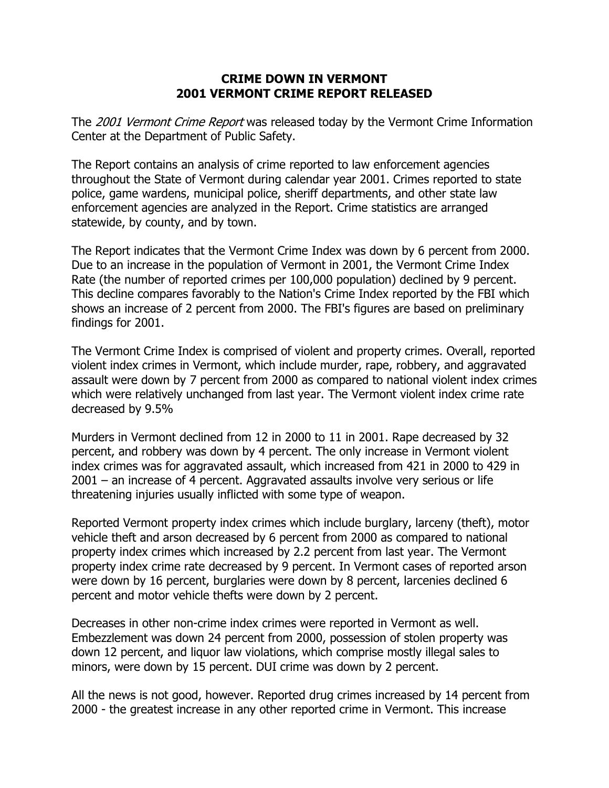## **CRIME DOWN IN VERMONT 2001 VERMONT CRIME REPORT RELEASED**

The 2001 Vermont Crime Report was released today by the Vermont Crime Information Center at the Department of Public Safety.

The Report contains an analysis of crime reported to law enforcement agencies throughout the State of Vermont during calendar year 2001. Crimes reported to state police, game wardens, municipal police, sheriff departments, and other state law enforcement agencies are analyzed in the Report. Crime statistics are arranged statewide, by county, and by town.

The Report indicates that the Vermont Crime Index was down by 6 percent from 2000. Due to an increase in the population of Vermont in 2001, the Vermont Crime Index Rate (the number of reported crimes per 100,000 population) declined by 9 percent. This decline compares favorably to the Nation's Crime Index reported by the FBI which shows an increase of 2 percent from 2000. The FBI's figures are based on preliminary findings for 2001.

The Vermont Crime Index is comprised of violent and property crimes. Overall, reported violent index crimes in Vermont, which include murder, rape, robbery, and aggravated assault were down by 7 percent from 2000 as compared to national violent index crimes which were relatively unchanged from last year. The Vermont violent index crime rate decreased by 9.5%

Murders in Vermont declined from 12 in 2000 to 11 in 2001. Rape decreased by 32 percent, and robbery was down by 4 percent. The only increase in Vermont violent index crimes was for aggravated assault, which increased from 421 in 2000 to 429 in 2001 – an increase of 4 percent. Aggravated assaults involve very serious or life threatening injuries usually inflicted with some type of weapon.

Reported Vermont property index crimes which include burglary, larceny (theft), motor vehicle theft and arson decreased by 6 percent from 2000 as compared to national property index crimes which increased by 2.2 percent from last year. The Vermont property index crime rate decreased by 9 percent. In Vermont cases of reported arson were down by 16 percent, burglaries were down by 8 percent, larcenies declined 6 percent and motor vehicle thefts were down by 2 percent.

Decreases in other non-crime index crimes were reported in Vermont as well. Embezzlement was down 24 percent from 2000, possession of stolen property was down 12 percent, and liquor law violations, which comprise mostly illegal sales to minors, were down by 15 percent. DUI crime was down by 2 percent.

All the news is not good, however. Reported drug crimes increased by 14 percent from 2000 - the greatest increase in any other reported crime in Vermont. This increase